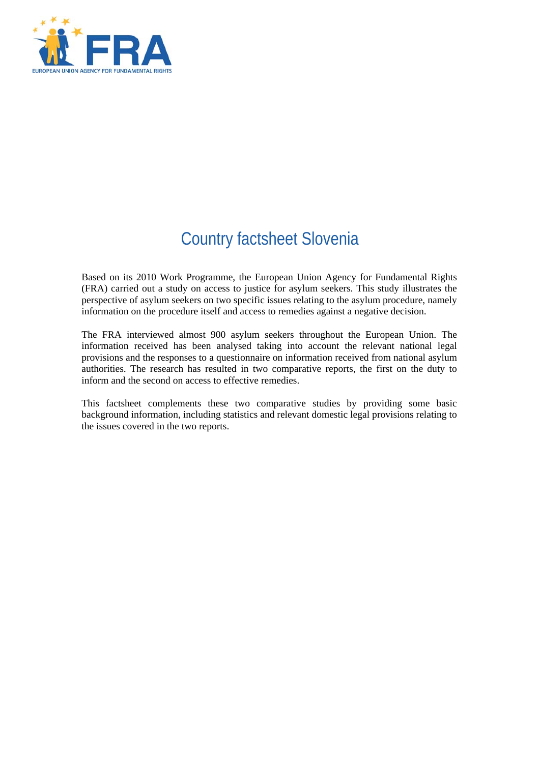

# Country factsheet Slovenia

Based on its 2010 Work Programme, the European Union Agency for Fundamental Rights (FRA) carried out a study on access to justice for asylum seekers. This study illustrates the perspective of asylum seekers on two specific issues relating to the asylum procedure, namely information on the procedure itself and access to remedies against a negative decision.

The FRA interviewed almost 900 asylum seekers throughout the European Union. The information received has been analysed taking into account the relevant national legal provisions and the responses to a questionnaire on information received from national asylum authorities. The research has resulted in two comparative reports, the first on the duty to inform and the second on access to effective remedies.

This factsheet complements these two comparative studies by providing some basic background information, including statistics and relevant domestic legal provisions relating to the issues covered in the two reports.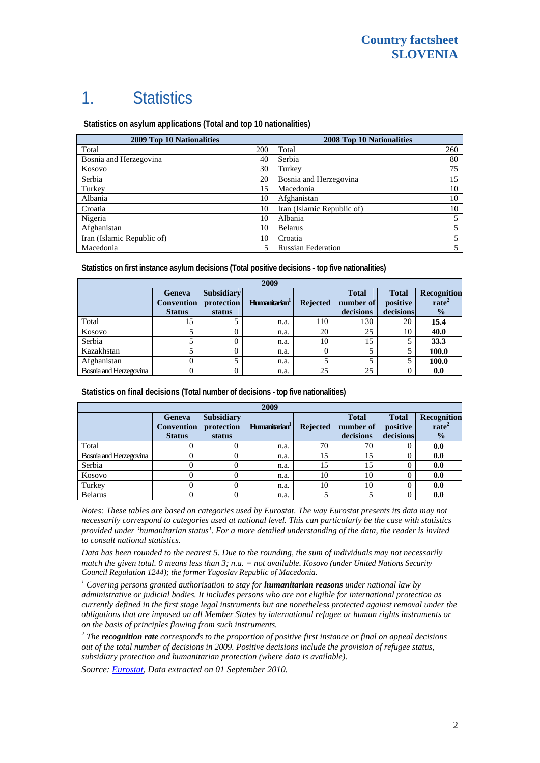# 1. Statistics

 **Statistics on asylum applications (Total and top 10 nationalities)**

| 2009 Top 10 Nationalities  | <b>2008 Top 10 Nationalities</b> |                            |     |
|----------------------------|----------------------------------|----------------------------|-----|
| Total                      | 200                              | Total                      | 260 |
| Bosnia and Herzegovina     | 40                               | Serbia                     | 80  |
| Kosovo                     | 30                               | Turkey                     | 75  |
| Serbia                     | 20                               | Bosnia and Herzegovina     | 15  |
| Turkey                     | 15                               | Macedonia                  | 10  |
| Albania                    | 10                               | Afghanistan                | 10  |
| Croatia                    | 10                               | Iran (Islamic Republic of) | 10  |
| Nigeria                    | 10                               | Albania                    |     |
| Afghanistan                | 10                               | <b>Belarus</b>             |     |
| Iran (Islamic Republic of) | 10                               | Croatia                    |     |
| Macedonia                  | 5                                | <b>Russian Federation</b>  |     |

**Statistics on first instance asylum decisions (Total positive decisions - top five nationalities)** 

| 2009                   |                                                     |                                           |                           |                 |                                        |                                       |                                                   |
|------------------------|-----------------------------------------------------|-------------------------------------------|---------------------------|-----------------|----------------------------------------|---------------------------------------|---------------------------------------------------|
|                        | <b>Geneva</b><br><b>Convention</b><br><b>Status</b> | <b>Subsidiary</b><br>protection<br>status | Humanitarian <sup>1</sup> | <b>Rejected</b> | <b>Total</b><br>number of<br>decisions | <b>Total</b><br>positive<br>decisions | Recognition<br>rate <sup>2</sup><br>$\frac{1}{2}$ |
| Total                  | 15                                                  |                                           | n.a.                      | 110             | 130                                    | 20                                    | 15.4                                              |
| Kosovo                 |                                                     |                                           | n.a.                      | 20              | 25                                     | 10                                    | 40.0                                              |
| Serbia                 |                                                     |                                           | n.a.                      | 10              | 15                                     |                                       | 33.3                                              |
| Kazakhstan             |                                                     |                                           | n.a.                      | 0               |                                        |                                       | 100.0                                             |
| Afghanistan            |                                                     |                                           | n.a.                      |                 |                                        |                                       | 100.0                                             |
| Bosnia and Herzegovina |                                                     |                                           | n.a.                      | 25              | 25                                     |                                       | 0.0                                               |

**Statistics on final decisions (Total number of decisions - top five nationalities)** 

| 2009                   |                                                     |                                           |                           |                 |                                        |                                       |                                                          |
|------------------------|-----------------------------------------------------|-------------------------------------------|---------------------------|-----------------|----------------------------------------|---------------------------------------|----------------------------------------------------------|
|                        | <b>Geneva</b><br><b>Convention</b><br><b>Status</b> | <b>Subsidiary</b><br>protection<br>status | Humanitarian <sup>1</sup> | <b>Rejected</b> | <b>Total</b><br>number of<br>decisions | <b>Total</b><br>positive<br>decisions | <b>Recognition</b><br>rate <sup>2</sup><br>$\frac{0}{0}$ |
| Total                  |                                                     |                                           | n.a.                      | 70              | 70                                     |                                       | 0.0                                                      |
| Bosnia and Herzegovina |                                                     |                                           | n.a.                      | 15              | 15                                     |                                       | 0.0                                                      |
| Serbia                 |                                                     |                                           | n.a.                      | 15              | 15                                     |                                       | 0.0                                                      |
| Kosovo                 |                                                     |                                           | n.a.                      | 10              | 10                                     |                                       | 0.0                                                      |
| Turkey                 |                                                     |                                           | n.a.                      | 10              | 10                                     |                                       | 0.0                                                      |
| <b>Belarus</b>         |                                                     |                                           | n.a.                      |                 |                                        |                                       | 0.0                                                      |

*Notes: These tables are based on categories used by Eurostat. The way Eurostat presents its data may not necessarily correspond to categories used at national level. This can particularly be the case with statistics provided under 'humanitarian status'. For a more detailed understanding of the data, the reader is invited to consult national statistics.* 

*Data has been rounded to the nearest 5. Due to the rounding, the sum of individuals may not necessarily match the given total. 0 means less than 3; n.a. = not available. Kosovo (under United Nations Security Council Regulation 1244); the former Yugoslav Republic of Macedonia.*

<sup>1</sup> Covering persons granted authorisation to stay for **humanitarian reasons** under national law by *administrative or judicial bodies. It includes persons who are not eligible for international protection as currently defined in the first stage legal instruments but are nonetheless protected against removal under the obligations that are imposed on all Member States by international refugee or human rights instruments or on the basis of principles flowing from such instruments.* 

*2 The recognition rate corresponds to the proportion of positive first instance or final on appeal decisions out of the total number of decisions in 2009. Positive decisions include the provision of refugee status, subsidiary protection and humanitarian protection (where data is available).* 

*Source: [Eurostat](http://epp.eurostat.ec.europa.eu/), Data extracted on 01 September 2010.*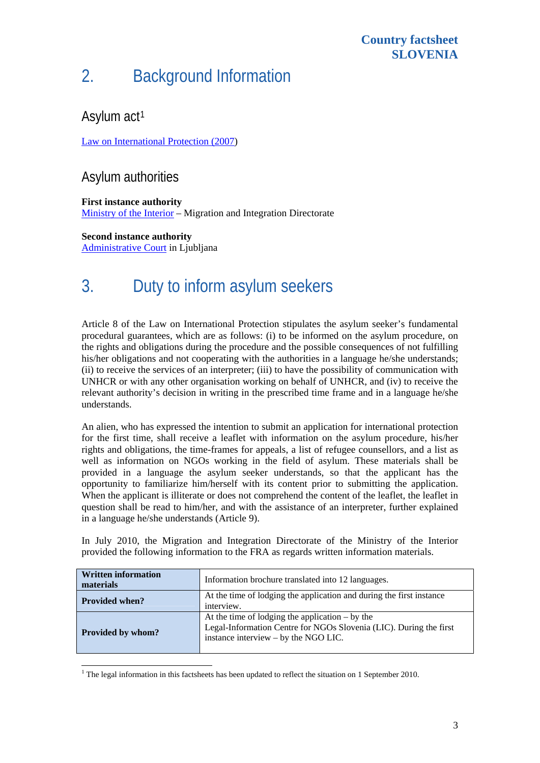### **Country factsheet SLOVENIA**

# 2. Background Information

### Asylum act<sup>[1](#page-2-0)</sup>

[Law on International Protection \(2007\)](http://www.unhcr-budapest.org/slovenia/images/stories/news/docs/07_Legal%20material/7_6_national%20laws_SVN/Law%20on%20international%20protection_SVN/Law%20on%20international%20protection_ENG.pdf)

### Asylum authorities

**First instance authority**  [Ministry of the Interior](http://www.mnz.gov.si/en) – Migration and Integration Directorate

**Second instance authority**  [Administrative Court](http://www.sodisce.si/usrs/) in Ljubljana

# 3. Duty to inform asylum seekers

Article 8 of the Law on International Protection stipulates the asylum seeker's fundamental procedural guarantees, which are as follows: (i) to be informed on the asylum procedure, on the rights and obligations during the procedure and the possible consequences of not fulfilling his/her obligations and not cooperating with the authorities in a language he/she understands; (ii) to receive the services of an interpreter; (iii) to have the possibility of communication with UNHCR or with any other organisation working on behalf of UNHCR, and (iv) to receive the relevant authority's decision in writing in the prescribed time frame and in a language he/she understands.

An alien, who has expressed the intention to submit an application for international protection for the first time, shall receive a leaflet with information on the asylum procedure, his/her rights and obligations, the time-frames for appeals, a list of refugee counsellors, and a list as well as information on NGOs working in the field of asylum. These materials shall be provided in a language the asylum seeker understands, so that the applicant has the opportunity to familiarize him/herself with its content prior to submitting the application. When the applicant is illiterate or does not comprehend the content of the leaflet, the leaflet in question shall be read to him/her, and with the assistance of an interpreter, further explained in a language he/she understands (Article 9).

In July 2010, the Migration and Integration Directorate of the Ministry of the Interior provided the following information to the FRA as regards written information materials.

| <b>Written information</b><br>materials | Information brochure translated into 12 languages.                                                                                                              |  |  |  |  |
|-----------------------------------------|-----------------------------------------------------------------------------------------------------------------------------------------------------------------|--|--|--|--|
| <b>Provided when?</b>                   | At the time of lodging the application and during the first instance<br>interview.                                                                              |  |  |  |  |
| <b>Provided by whom?</b>                | At the time of lodging the application $-$ by the<br>Legal-Information Centre for NGOs Slovenia (LIC). During the first<br>instance interview – by the NGO LIC. |  |  |  |  |

<span id="page-2-0"></span>1  $1$ <sup>1</sup> The legal information in this factsheets has been updated to reflect the situation on 1 September 2010.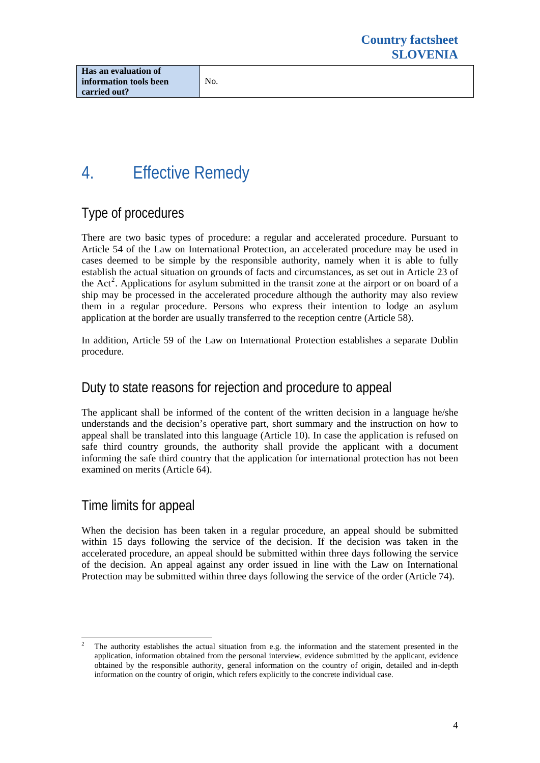# 4. Effective Remedy

# Type of procedures

There are two basic types of procedure: a regular and accelerated procedure. Pursuant to Article 54 of the Law on International Protection, an accelerated procedure may be used in cases deemed to be simple by the responsible authority, namely when it is able to fully establish the actual situation on grounds of facts and circumstances, as set out in Article 23 of the  $Act<sup>2</sup>$  $Act<sup>2</sup>$  $Act<sup>2</sup>$ . Applications for asylum submitted in the transit zone at the airport or on board of a ship may be processed in the accelerated procedure although the authority may also review them in a regular procedure. Persons who express their intention to lodge an asylum application at the border are usually transferred to the reception centre (Article 58).

In addition, Article 59 of the Law on International Protection establishes a separate Dublin procedure.

## Duty to state reasons for rejection and procedure to appeal

The applicant shall be informed of the content of the written decision in a language he/she understands and the decision's operative part, short summary and the instruction on how to appeal shall be translated into this language (Article 10). In case the application is refused on safe third country grounds, the authority shall provide the applicant with a document informing the safe third country that the application for international protection has not been examined on merits (Article 64).

## Time limits for appeal

When the decision has been taken in a regular procedure, an appeal should be submitted within 15 days following the service of the decision. If the decision was taken in the accelerated procedure, an appeal should be submitted within three days following the service of the decision. An appeal against any order issued in line with the Law on International Protection may be submitted within three days following the service of the order (Article 74).

<span id="page-3-0"></span><sup>1</sup> 2 The authority establishes the actual situation from e.g. the information and the statement presented in the application, information obtained from the personal interview, evidence submitted by the applicant, evidence obtained by the responsible authority, general information on the country of origin, detailed and in-depth information on the country of origin, which refers explicitly to the concrete individual case.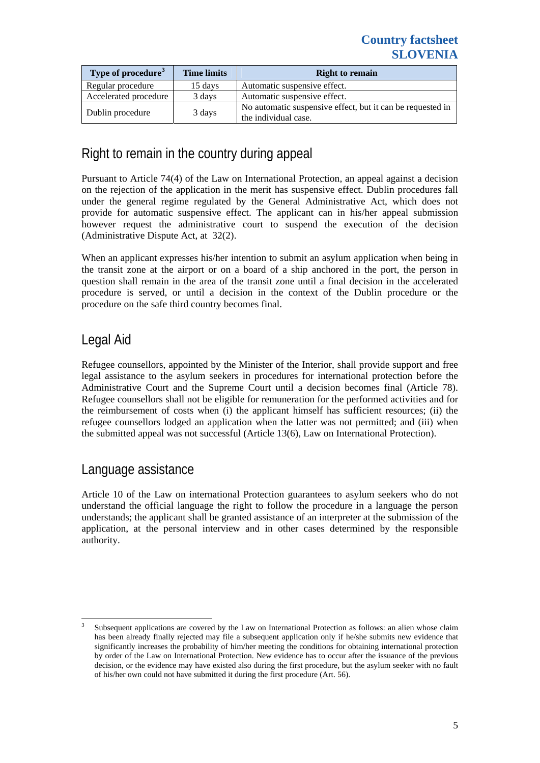| Type of procedure <sup>3</sup> | <b>Time limits</b> | <b>Right to remain</b>                                                             |
|--------------------------------|--------------------|------------------------------------------------------------------------------------|
| Regular procedure              | 15 days            | Automatic suspensive effect.                                                       |
| Accelerated procedure          | 3 days             | Automatic suspensive effect.                                                       |
| Dublin procedure               | 3 days             | No automatic suspensive effect, but it can be requested in<br>the individual case. |

## Right to remain in the country during appeal

Pursuant to Article 74(4) of the Law on International Protection, an appeal against a decision on the rejection of the application in the merit has suspensive effect. Dublin procedures fall under the general regime regulated by the General Administrative Act, which does not provide for automatic suspensive effect. The applicant can in his/her appeal submission however request the administrative court to suspend the execution of the decision (Administrative Dispute Act, at 32(2).

When an applicant expresses his/her intention to submit an asylum application when being in the transit zone at the airport or on a board of a ship anchored in the port, the person in question shall remain in the area of the transit zone until a final decision in the accelerated procedure is served, or until a decision in the context of the Dublin procedure or the procedure on the safe third country becomes final.

## Legal Aid

Refugee counsellors, appointed by the Minister of the Interior, shall provide support and free legal assistance to the asylum seekers in procedures for international protection before the Administrative Court and the Supreme Court until a decision becomes final (Article 78). Refugee counsellors shall not be eligible for remuneration for the performed activities and for the reimbursement of costs when (i) the applicant himself has sufficient resources; (ii) the refugee counsellors lodged an application when the latter was not permitted; and (iii) when the submitted appeal was not successful (Article 13(6), Law on International Protection).

### Language assistance

Article 10 of the Law on international Protection guarantees to asylum seekers who do not understand the official language the right to follow the procedure in a language the person understands; the applicant shall be granted assistance of an interpreter at the submission of the application, at the personal interview and in other cases determined by the responsible authority.

<span id="page-4-0"></span><sup>-</sup>3 Subsequent applications are covered by the Law on International Protection as follows: an alien whose claim has been already finally rejected may file a subsequent application only if he/she submits new evidence that significantly increases the probability of him/her meeting the conditions for obtaining international protection by order of the Law on International Protection. New evidence has to occur after the issuance of the previous decision, or the evidence may have existed also during the first procedure, but the asylum seeker with no fault of his/her own could not have submitted it during the first procedure (Art. 56).